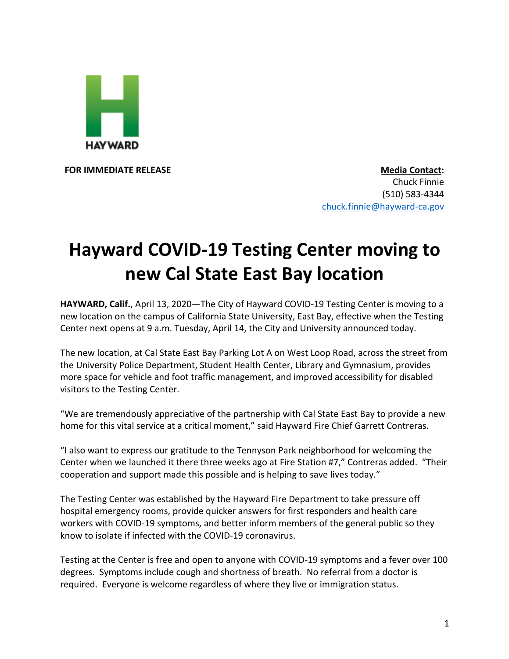

**FOR IMMEDIATE RELEASE Media Contact:** Chuck Finnie (510) 583-4344 chuck.finnie@hayward-ca.gov

## **Hayward COVID-19 Testing Center moving to new Cal State East Bay location**

**HAYWARD, Calif.**, April 13, 2020—The City of Hayward COVID-19 Testing Center is moving to a new location on the campus of California State University, East Bay, effective when the Testing Center next opens at 9 a.m. Tuesday, April 14, the City and University announced today.

The new location, at Cal State East Bay Parking Lot A on West Loop Road, across the street from the University Police Department, Student Health Center, Library and Gymnasium, provides more space for vehicle and foot traffic management, and improved accessibility for disabled visitors to the Testing Center.

"We are tremendously appreciative of the partnership with Cal State East Bay to provide a new home for this vital service at a critical moment," said Hayward Fire Chief Garrett Contreras.

"I also want to express our gratitude to the Tennyson Park neighborhood for welcoming the Center when we launched it there three weeks ago at Fire Station #7," Contreras added. "Their cooperation and support made this possible and is helping to save lives today."

The Testing Center was established by the Hayward Fire Department to take pressure off hospital emergency rooms, provide quicker answers for first responders and health care workers with COVID-19 symptoms, and better inform members of the general public so they know to isolate if infected with the COVID-19 coronavirus.

Testing at the Center is free and open to anyone with COVID-19 symptoms and a fever over 100 degrees. Symptoms include cough and shortness of breath. No referral from a doctor is required. Everyone is welcome regardless of where they live or immigration status.